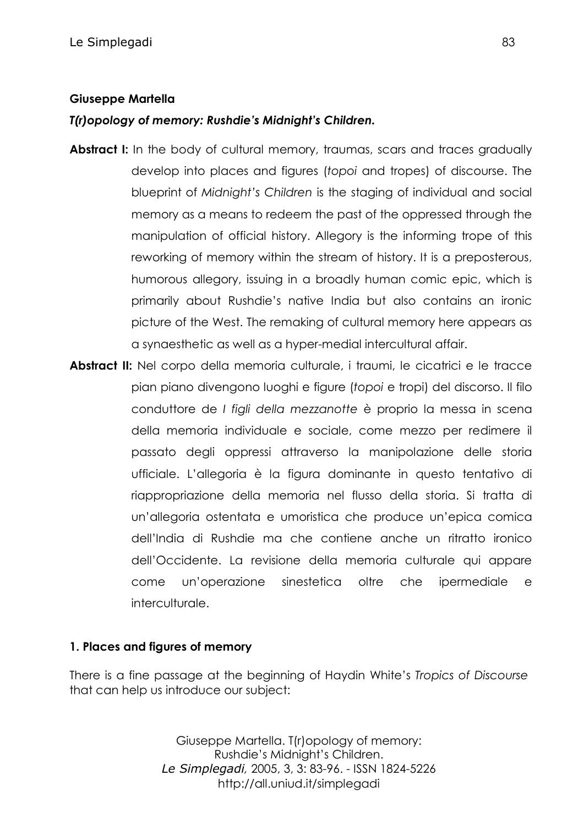#### **Giuseppe Martella**

#### *T(r)opology of memory: Rushdie's Midnight's Children.*

- **Abstract I:** In the body of cultural memory, traumas, scars and traces gradually develop into places and figures (*topoi* and tropes) of discourse. The blueprint of *Midnight's Children* is the staging of individual and social memory as a means to redeem the past of the oppressed through the manipulation of official history. Allegory is the informing trope of this reworking of memory within the stream of history. It is a preposterous, humorous allegory, issuing in a broadly human comic epic, which is primarily about Rushdie's native India but also contains an ironic picture of the West. The remaking of cultural memory here appears as a synaesthetic as well as a hyper-medial intercultural affair.
- **Abstract II:** Nel corpo della memoria culturale, i traumi, le cicatrici e le tracce pian piano divengono luoghi e figure (*topoi* e tropi) del discorso. Il filo conduttore de *I figli della mezzanotte* è proprio la messa in scena della memoria individuale e sociale, come mezzo per redimere il passato degli oppressi attraverso la manipolazione delle storia ufficiale. L'allegoria è la figura dominante in questo tentativo di riappropriazione della memoria nel flusso della storia. Si tratta di un'allegoria ostentata e umoristica che produce un'epica comica dell'India di Rushdie ma che contiene anche un ritratto ironico dell'Occidente. La revisione della memoria culturale qui appare come un'operazione sinestetica oltre che ipermediale e interculturale.

#### **1. Places and figures of memory**

There is a fine passage at the beginning of Haydin White's *Tropics of Discourse* that can help us introduce our subject: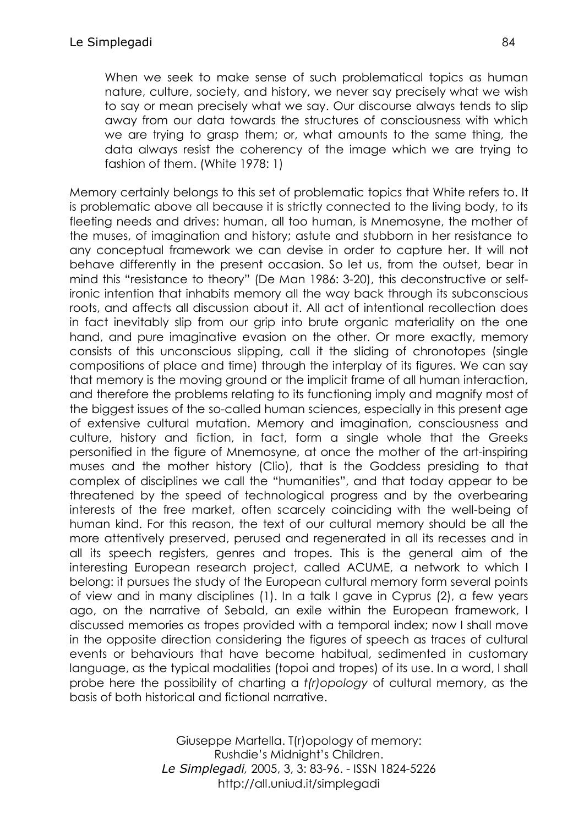When we seek to make sense of such problematical topics as human nature, culture, society, and history, we never say precisely what we wish to say or mean precisely what we say. Our discourse always tends to slip away from our data towards the structures of consciousness with which we are trying to grasp them; or, what amounts to the same thing, the data always resist the coherency of the image which we are trying to fashion of them. (White 1978: 1)

Memory certainly belongs to this set of problematic topics that White refers to. It is problematic above all because it is strictly connected to the living body, to its fleeting needs and drives: human, all too human, is Mnemosyne, the mother of the muses, of imagination and history; astute and stubborn in her resistance to any conceptual framework we can devise in order to capture her. It will not behave differently in the present occasion. So let us, from the outset, bear in mind this "resistance to theory" (De Man 1986: 3-20), this deconstructive or selfironic intention that inhabits memory all the way back through its subconscious roots, and affects all discussion about it. All act of intentional recollection does in fact inevitably slip from our grip into brute organic materiality on the one hand, and pure imaginative evasion on the other. Or more exactly, memory consists of this unconscious slipping, call it the sliding of chronotopes (single compositions of place and time) through the interplay of its figures. We can say that memory is the moving ground or the implicit frame of all human interaction, and therefore the problems relating to its functioning imply and magnify most of the biggest issues of the so-called human sciences, especially in this present age of extensive cultural mutation. Memory and imagination, consciousness and culture, history and fiction, in fact, form a single whole that the Greeks personified in the figure of Mnemosyne, at once the mother of the art-inspiring muses and the mother history (Clio), that is the Goddess presiding to that complex of disciplines we call the "humanities", and that today appear to be threatened by the speed of technological progress and by the overbearing interests of the free market, often scarcely coinciding with the well-being of human kind. For this reason, the text of our cultural memory should be all the more attentively preserved, perused and regenerated in all its recesses and in all its speech registers, genres and tropes. This is the general aim of the interesting European research project, called ACUME, a network to which I belong: it pursues the study of the European cultural memory form several points of view and in many disciplines (1). In a talk I gave in Cyprus (2), a few years ago, on the narrative of Sebald, an exile within the European framework, I discussed memories as tropes provided with a temporal index; now I shall move in the opposite direction considering the figures of speech as traces of cultural events or behaviours that have become habitual, sedimented in customary language, as the typical modalities (topoi and tropes) of its use. In a word, I shall probe here the possibility of charting a *t(r)opology* of cultural memory, as the basis of both historical and fictional narrative.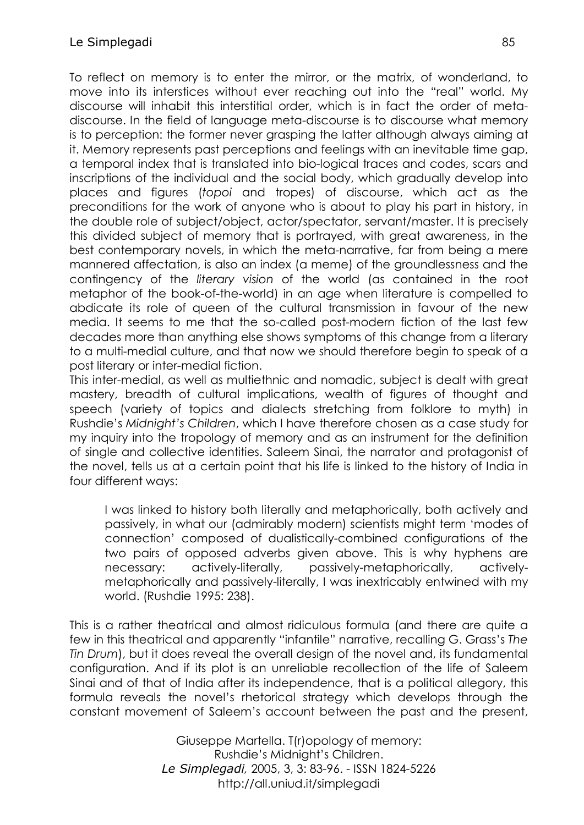To reflect on memory is to enter the mirror, or the matrix, of wonderland, to move into its interstices without ever reaching out into the "real" world. My discourse will inhabit this interstitial order, which is in fact the order of metadiscourse. In the field of language meta-discourse is to discourse what memory is to perception: the former never grasping the latter although always aiming at it. Memory represents past perceptions and feelings with an inevitable time gap, a temporal index that is translated into bio-logical traces and codes, scars and inscriptions of the individual and the social body, which gradually develop into places and figures (*topoi* and tropes) of discourse, which act as the preconditions for the work of anyone who is about to play his part in history, in the double role of subject/object, actor/spectator, servant/master. It is precisely this divided subject of memory that is portrayed, with great awareness, in the best contemporary novels, in which the meta-narrative, far from being a mere mannered affectation, is also an index (a meme) of the groundlessness and the contingency of the *literary vision* of the world (as contained in the root metaphor of the book-of-the-world) in an age when literature is compelled to abdicate its role of queen of the cultural transmission in favour of the new media. It seems to me that the so-called post-modern fiction of the last few decades more than anything else shows symptoms of this change from a literary to a multi-medial culture, and that now we should therefore begin to speak of a post literary or inter-medial fiction.

This inter-medial, as well as multiethnic and nomadic, subject is dealt with great mastery, breadth of cultural implications, wealth of figures of thought and speech (variety of topics and dialects stretching from folklore to myth) in Rushdie's *Midnight's Children*, which I have therefore chosen as a case study for my inquiry into the tropology of memory and as an instrument for the definition of single and collective identities. Saleem Sinai, the narrator and protagonist of the novel, tells us at a certain point that his life is linked to the history of India in four different ways:

I was linked to history both literally and metaphorically, both actively and passively, in what our (admirably modern) scientists might term 'modes of connection' composed of dualistically-combined configurations of the two pairs of opposed adverbs given above. This is why hyphens are necessary: actively-literally, passively-metaphorically, activelymetaphorically and passively-literally, I was inextricably entwined with my world. (Rushdie 1995: 238).

This is a rather theatrical and almost ridiculous formula (and there are quite a few in this theatrical and apparently "infantile" narrative, recalling G. Grass's *The Tin Drum*), but it does reveal the overall design of the novel and, its fundamental configuration. And if its plot is an unreliable recollection of the life of Saleem Sinai and of that of India after its independence, that is a political allegory, this formula reveals the novel's rhetorical strategy which develops through the constant movement of Saleem's account between the past and the present,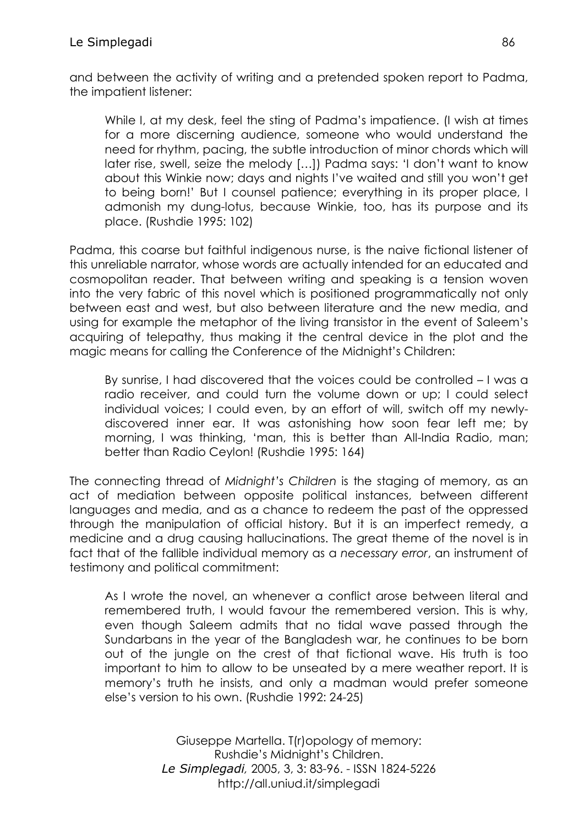and between the activity of writing and a pretended spoken report to Padma, the impatient listener:

While I, at my desk, feel the sting of Padma's impatience. (I wish at times for a more discerning audience, someone who would understand the need for rhythm, pacing, the subtle introduction of minor chords which will later rise, swell, seize the melody […]) Padma says: 'I don't want to know about this Winkie now; days and nights I've waited and still you won't get to being born!' But I counsel patience; everything in its proper place, I admonish my dung-lotus, because Winkie, too, has its purpose and its place. (Rushdie 1995: 102)

Padma, this coarse but faithful indigenous nurse, is the naive fictional listener of this unreliable narrator, whose words are actually intended for an educated and cosmopolitan reader. That between writing and speaking is a tension woven into the very fabric of this novel which is positioned programmatically not only between east and west, but also between literature and the new media, and using for example the metaphor of the living transistor in the event of Saleem's acquiring of telepathy, thus making it the central device in the plot and the magic means for calling the Conference of the Midnight's Children:

By sunrise, I had discovered that the voices could be controlled – I was a radio receiver, and could turn the volume down or up; I could select individual voices; I could even, by an effort of will, switch off my newlydiscovered inner ear. It was astonishing how soon fear left me; by morning, I was thinking, 'man, this is better than All-India Radio, man; better than Radio Ceylon! (Rushdie 1995: 164)

The connecting thread of *Midnight's Children* is the staging of memory, as an act of mediation between opposite political instances, between different languages and media, and as a chance to redeem the past of the oppressed through the manipulation of official history. But it is an imperfect remedy, a medicine and a drug causing hallucinations. The great theme of the novel is in fact that of the fallible individual memory as a *necessary error*, an instrument of testimony and political commitment:

As I wrote the novel, an whenever a conflict arose between literal and remembered truth, I would favour the remembered version. This is why, even though Saleem admits that no tidal wave passed through the Sundarbans in the year of the Bangladesh war, he continues to be born out of the jungle on the crest of that fictional wave. His truth is too important to him to allow to be unseated by a mere weather report. It is memory's truth he insists, and only a madman would prefer someone else's version to his own. (Rushdie 1992: 24-25)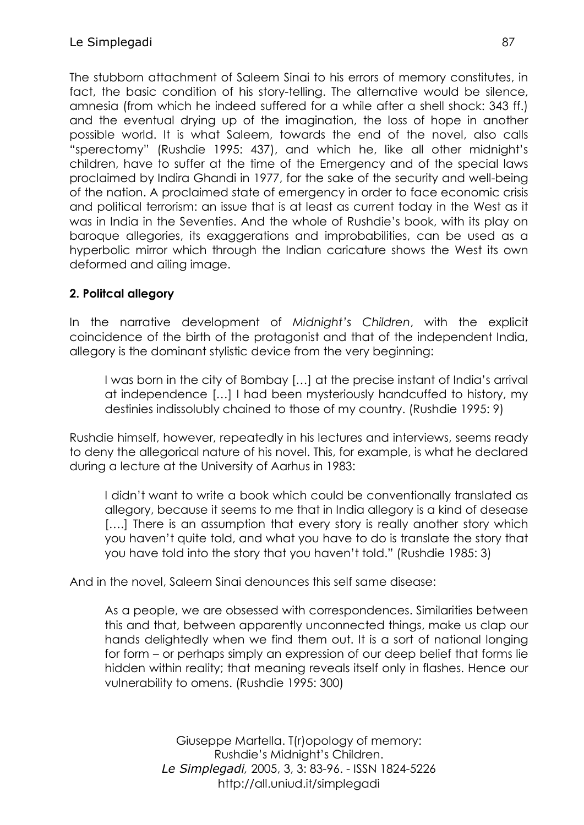The stubborn attachment of Saleem Sinai to his errors of memory constitutes, in fact, the basic condition of his story-telling. The alternative would be silence, amnesia (from which he indeed suffered for a while after a shell shock: 343 ff.) and the eventual drying up of the imagination, the loss of hope in another possible world. It is what Saleem, towards the end of the novel, also calls "sperectomy" (Rushdie 1995: 437), and which he, like all other midnight's children, have to suffer at the time of the Emergency and of the special laws proclaimed by Indira Ghandi in 1977, for the sake of the security and well-being of the nation. A proclaimed state of emergency in order to face economic crisis and political terrorism: an issue that is at least as current today in the West as it was in India in the Seventies. And the whole of Rushdie's book, with its play on baroque allegories, its exaggerations and improbabilities, can be used as a hyperbolic mirror which through the Indian caricature shows the West its own deformed and ailing image.

### **2. Politcal allegory**

In the narrative development of *Midnight's Children*, with the explicit coincidence of the birth of the protagonist and that of the independent India, allegory is the dominant stylistic device from the very beginning:

I was born in the city of Bombay […] at the precise instant of India's arrival at independence […] I had been mysteriously handcuffed to history, my destinies indissolubly chained to those of my country. (Rushdie 1995: 9)

Rushdie himself, however, repeatedly in his lectures and interviews, seems ready to deny the allegorical nature of his novel. This, for example, is what he declared during a lecture at the University of Aarhus in 1983:

I didn't want to write a book which could be conventionally translated as allegory, because it seems to me that in India allegory is a kind of desease [....] There is an assumption that every story is really another story which you haven't quite told, and what you have to do is translate the story that you have told into the story that you haven't told." (Rushdie 1985: 3)

And in the novel, Saleem Sinai denounces this self same disease:

As a people, we are obsessed with correspondences. Similarities between this and that, between apparently unconnected things, make us clap our hands delightedly when we find them out. It is a sort of national longing for form – or perhaps simply an expression of our deep belief that forms lie hidden within reality; that meaning reveals itself only in flashes. Hence our vulnerability to omens. (Rushdie 1995: 300)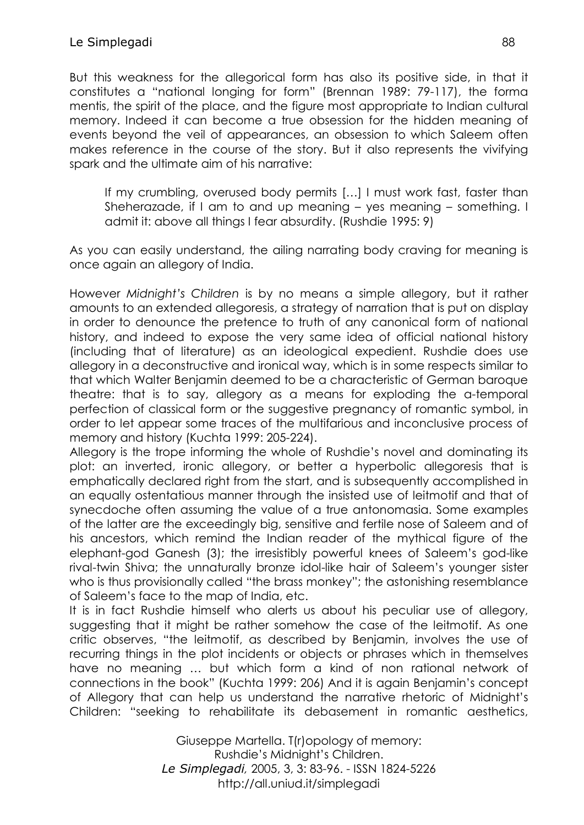But this weakness for the allegorical form has also its positive side, in that it constitutes a "national longing for form" (Brennan 1989: 79-117), the forma mentis, the spirit of the place, and the figure most appropriate to Indian cultural memory. Indeed it can become a true obsession for the hidden meaning of events beyond the veil of appearances, an obsession to which Saleem often makes reference in the course of the story. But it also represents the vivifying spark and the ultimate aim of his narrative:

If my crumbling, overused body permits […] I must work fast, faster than Sheherazade, if I am to and up meaning – yes meaning – something. I admit it: above all things I fear absurdity. (Rushdie 1995: 9)

As you can easily understand, the ailing narrating body craving for meaning is once again an allegory of India.

However *Midnight's Children* is by no means a simple allegory, but it rather amounts to an extended allegoresis, a strategy of narration that is put on display in order to denounce the pretence to truth of any canonical form of national history, and indeed to expose the very same idea of official national history (including that of literature) as an ideological expedient. Rushdie does use allegory in a deconstructive and ironical way, which is in some respects similar to that which Walter Benjamin deemed to be a characteristic of German baroque theatre: that is to say, allegory as a means for exploding the a-temporal perfection of classical form or the suggestive pregnancy of romantic symbol, in order to let appear some traces of the multifarious and inconclusive process of memory and history (Kuchta 1999: 205-224).

Allegory is the trope informing the whole of Rushdie's novel and dominating its plot: an inverted, ironic allegory, or better a hyperbolic allegoresis that is emphatically declared right from the start, and is subsequently accomplished in an equally ostentatious manner through the insisted use of leitmotif and that of synecdoche often assuming the value of a true antonomasia. Some examples of the latter are the exceedingly big, sensitive and fertile nose of Saleem and of his ancestors, which remind the Indian reader of the mythical figure of the elephant-god Ganesh (3); the irresistibly powerful knees of Saleem's god-like rival-twin Shiva; the unnaturally bronze idol-like hair of Saleem's younger sister who is thus provisionally called "the brass monkey"; the astonishing resemblance of Saleem's face to the map of India, etc.

It is in fact Rushdie himself who alerts us about his peculiar use of allegory, suggesting that it might be rather somehow the case of the leitmotif. As one critic observes, "the leitmotif, as described by Benjamin, involves the use of recurring things in the plot incidents or objects or phrases which in themselves have no meaning … but which form a kind of non rational network of connections in the book" (Kuchta 1999: 206) And it is again Benjamin's concept of Allegory that can help us understand the narrative rhetoric of Midnight's Children: "seeking to rehabilitate its debasement in romantic aesthetics,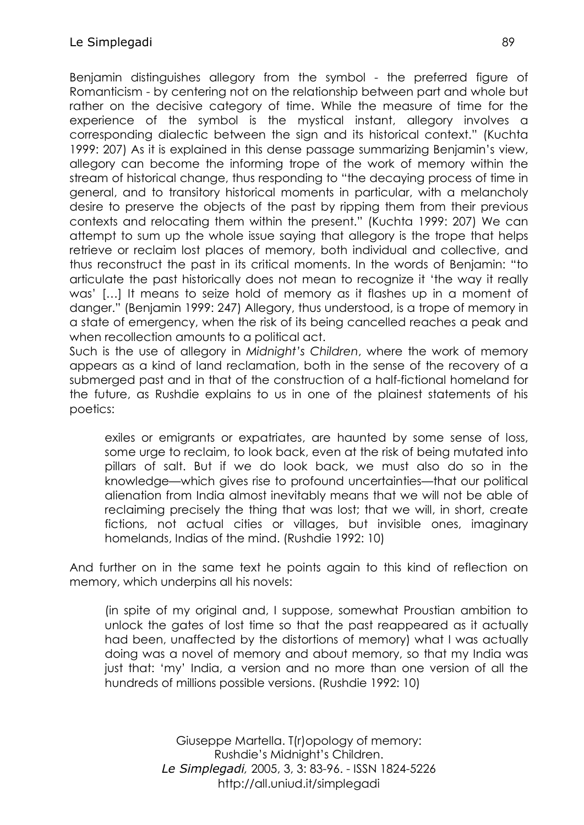Benjamin distinguishes allegory from the symbol - the preferred figure of Romanticism - by centering not on the relationship between part and whole but rather on the decisive category of time. While the measure of time for the experience of the symbol is the mystical instant, allegory involves a corresponding dialectic between the sign and its historical context." (Kuchta 1999: 207) As it is explained in this dense passage summarizing Benjamin's view, allegory can become the informing trope of the work of memory within the stream of historical change, thus responding to "the decaying process of time in general, and to transitory historical moments in particular, with a melancholy desire to preserve the objects of the past by ripping them from their previous contexts and relocating them within the present." (Kuchta 1999: 207) We can attempt to sum up the whole issue saying that allegory is the trope that helps retrieve or reclaim lost places of memory, both individual and collective, and thus reconstruct the past in its critical moments. In the words of Benjamin: "to articulate the past historically does not mean to recognize it 'the way it really was' […] It means to seize hold of memory as it flashes up in a moment of danger." (Benjamin 1999: 247) Allegory, thus understood, is a trope of memory in a state of emergency, when the risk of its being cancelled reaches a peak and when recollection amounts to a political act.

Such is the use of allegory in *Midnight's Children*, where the work of memory appears as a kind of land reclamation, both in the sense of the recovery of a submerged past and in that of the construction of a half-fictional homeland for the future, as Rushdie explains to us in one of the plainest statements of his poetics:

exiles or emigrants or expatriates, are haunted by some sense of loss, some urge to reclaim, to look back, even at the risk of being mutated into pillars of salt. But if we do look back, we must also do so in the knowledge—which gives rise to profound uncertainties—that our political alienation from India almost inevitably means that we will not be able of reclaiming precisely the thing that was lost; that we will, in short, create fictions, not actual cities or villages, but invisible ones, imaginary homelands, Indias of the mind. (Rushdie 1992: 10)

And further on in the same text he points again to this kind of reflection on memory, which underpins all his novels:

(in spite of my original and, I suppose, somewhat Proustian ambition to unlock the gates of lost time so that the past reappeared as it actually had been, unaffected by the distortions of memory) what I was actually doing was a novel of memory and about memory, so that my India was just that: 'my' India, a version and no more than one version of all the hundreds of millions possible versions. (Rushdie 1992: 10)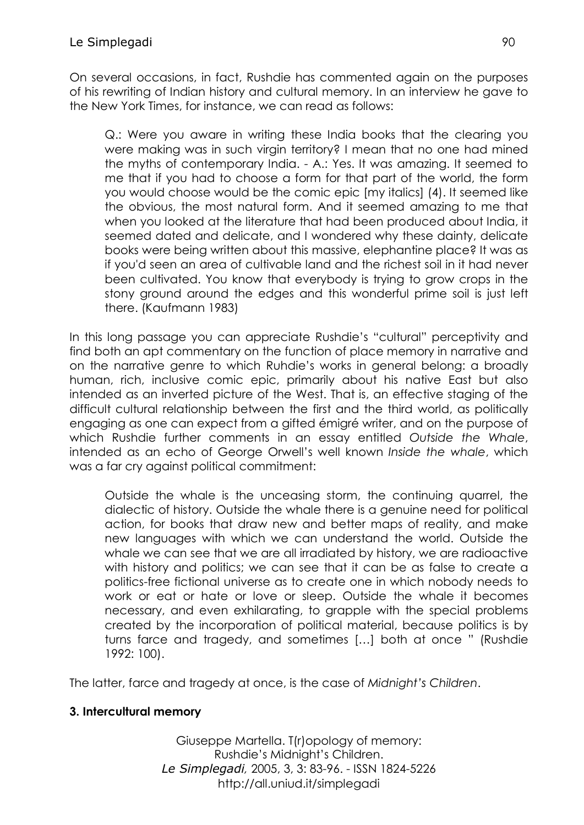On several occasions, in fact, Rushdie has commented again on the purposes of his rewriting of Indian history and cultural memory. In an interview he gave to the New York Times, for instance, we can read as follows:

Q.: Were you aware in writing these India books that the clearing you were making was in such virgin territory? I mean that no one had mined the myths of contemporary India. - A.: Yes. It was amazing. It seemed to me that if you had to choose a form for that part of the world, the form you would choose would be the comic epic [my italics] (4). It seemed like the obvious, the most natural form. And it seemed amazing to me that when you looked at the literature that had been produced about India, it seemed dated and delicate, and I wondered why these dainty, delicate books were being written about this massive, elephantine place? It was as if you'd seen an area of cultivable land and the richest soil in it had never been cultivated. You know that everybody is trying to grow crops in the stony ground around the edges and this wonderful prime soil is just left there. (Kaufmann 1983)

In this long passage you can appreciate Rushdie's "cultural" perceptivity and find both an apt commentary on the function of place memory in narrative and on the narrative genre to which Ruhdie's works in general belong: a broadly human, rich, inclusive comic epic, primarily about his native East but also intended as an inverted picture of the West. That is, an effective staging of the difficult cultural relationship between the first and the third world, as politically engaging as one can expect from a gifted émigré writer, and on the purpose of which Rushdie further comments in an essay entitled *Outside the Whale*, intended as an echo of George Orwell's well known *Inside the whale*, which was a far cry against political commitment:

Outside the whale is the unceasing storm, the continuing quarrel, the dialectic of history. Outside the whale there is a genuine need for political action, for books that draw new and better maps of reality, and make new languages with which we can understand the world. Outside the whale we can see that we are all irradiated by history, we are radioactive with history and politics; we can see that it can be as false to create a politics-free fictional universe as to create one in which nobody needs to work or eat or hate or love or sleep. Outside the whale it becomes necessary, and even exhilarating, to grapple with the special problems created by the incorporation of political material, because politics is by turns farce and tragedy, and sometimes […] both at once " (Rushdie 1992: 100).

The latter, farce and tragedy at once, is the case of *Midnight's Children*.

### **3. Intercultural memory**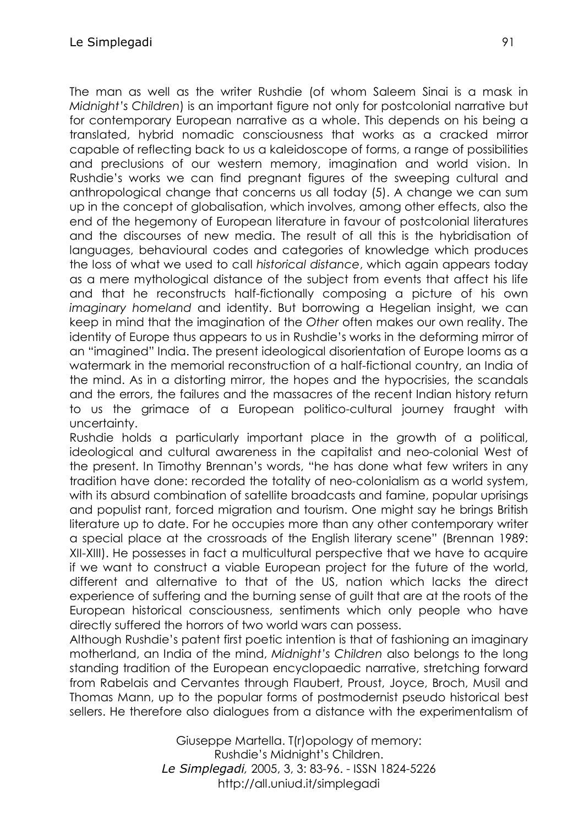The man as well as the writer Rushdie (of whom Saleem Sinai is a mask in *Midnight's Children*) is an important figure not only for postcolonial narrative but for contemporary European narrative as a whole. This depends on his being a translated, hybrid nomadic consciousness that works as a cracked mirror capable of reflecting back to us a kaleidoscope of forms, a range of possibilities and preclusions of our western memory, imagination and world vision. In Rushdie's works we can find pregnant figures of the sweeping cultural and anthropological change that concerns us all today (5). A change we can sum up in the concept of globalisation, which involves, among other effects, also the end of the hegemony of European literature in favour of postcolonial literatures and the discourses of new media. The result of all this is the hybridisation of languages, behavioural codes and categories of knowledge which produces the loss of what we used to call *historical distance*, which again appears today as a mere mythological distance of the subject from events that affect his life and that he reconstructs half-fictionally composing a picture of his own *imaginary homeland* and identity. But borrowing a Hegelian insight, we can keep in mind that the imagination of the *Other* often makes our own reality. The identity of Europe thus appears to us in Rushdie's works in the deforming mirror of an "imagined" India. The present ideological disorientation of Europe looms as a watermark in the memorial reconstruction of a half-fictional country, an India of the mind. As in a distorting mirror, the hopes and the hypocrisies, the scandals and the errors, the failures and the massacres of the recent Indian history return to us the grimace of a European politico-cultural journey fraught with uncertainty.

Rushdie holds a particularly important place in the growth of a political, ideological and cultural awareness in the capitalist and neo-colonial West of the present. In Timothy Brennan's words, "he has done what few writers in any tradition have done: recorded the totality of neo-colonialism as a world system, with its absurd combination of satellite broadcasts and famine, popular uprisings and populist rant, forced migration and tourism. One might say he brings British literature up to date. For he occupies more than any other contemporary writer a special place at the crossroads of the English literary scene" (Brennan 1989: XII-XIII). He possesses in fact a multicultural perspective that we have to acquire if we want to construct a viable European project for the future of the world, different and alternative to that of the US, nation which lacks the direct experience of suffering and the burning sense of guilt that are at the roots of the European historical consciousness, sentiments which only people who have directly suffered the horrors of two world wars can possess.

Although Rushdie's patent first poetic intention is that of fashioning an imaginary motherland, an India of the mind, *Midnight's Children* also belongs to the long standing tradition of the European encyclopaedic narrative, stretching forward from Rabelais and Cervantes through Flaubert, Proust, Joyce, Broch, Musil and Thomas Mann, up to the popular forms of postmodernist pseudo historical best sellers. He therefore also dialogues from a distance with the experimentalism of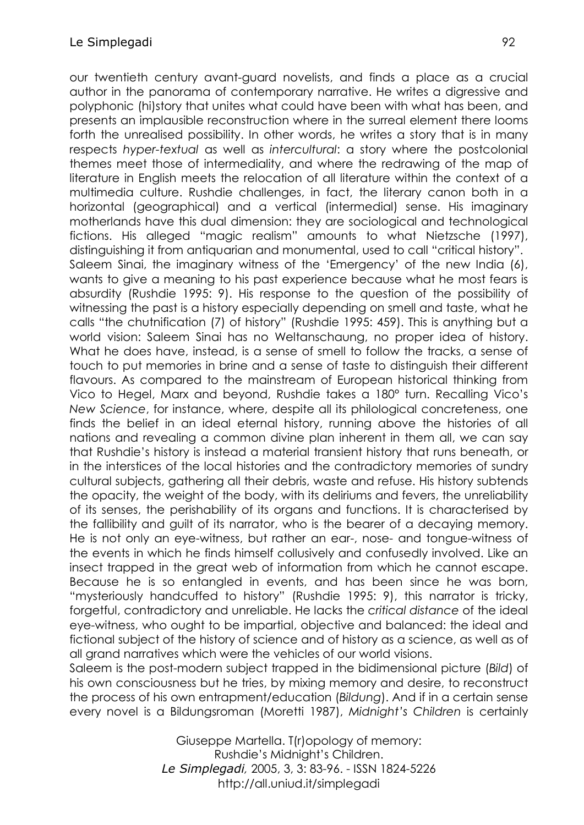our twentieth century avant-guard novelists, and finds a place as a crucial author in the panorama of contemporary narrative. He writes a digressive and polyphonic (hi)story that unites what could have been with what has been, and presents an implausible reconstruction where in the surreal element there looms forth the unrealised possibility. In other words, he writes a story that is in many respects *hyper-textual* as well as *intercultural*: a story where the postcolonial themes meet those of intermediality, and where the redrawing of the map of literature in English meets the relocation of all literature within the context of a multimedia culture. Rushdie challenges, in fact, the literary canon both in a horizontal (geographical) and a vertical (intermedial) sense. His imaginary motherlands have this dual dimension: they are sociological and technological fictions. His alleged "magic realism" amounts to what Nietzsche (1997), distinguishing it from antiquarian and monumental, used to call "critical history". Saleem Sinai, the imaginary witness of the 'Emergency' of the new India (6), wants to give a meaning to his past experience because what he most fears is absurdity (Rushdie 1995: 9). His response to the question of the possibility of witnessing the past is a history especially depending on smell and taste, what he calls "the chutnification (7) of history" (Rushdie 1995: 459). This is anything but a world vision: Saleem Sinai has no Weltanschaung, no proper idea of history. What he does have, instead, is a sense of smell to follow the tracks, a sense of touch to put memories in brine and a sense of taste to distinguish their different flavours. As compared to the mainstream of European historical thinking from Vico to Hegel, Marx and beyond, Rushdie takes a 180° turn. Recalling Vico's *New Science*, for instance, where, despite all its philological concreteness, one finds the belief in an ideal eternal history, running above the histories of all nations and revealing a common divine plan inherent in them all, we can say that Rushdie's history is instead a material transient history that runs beneath, or in the interstices of the local histories and the contradictory memories of sundry cultural subjects, gathering all their debris, waste and refuse. His history subtends the opacity, the weight of the body, with its deliriums and fevers, the unreliability of its senses, the perishability of its organs and functions. It is characterised by the fallibility and guilt of its narrator, who is the bearer of a decaying memory. He is not only an eye-witness, but rather an ear-, nose- and tongue-witness of the events in which he finds himself collusively and confusedly involved. Like an insect trapped in the great web of information from which he cannot escape. Because he is so entangled in events, and has been since he was born, "mysteriously handcuffed to history" (Rushdie 1995: 9), this narrator is tricky, forgetful, contradictory and unreliable. He lacks the *critical distance* of the ideal eye-witness, who ought to be impartial, objective and balanced: the ideal and fictional subject of the history of science and of history as a science, as well as of all grand narratives which were the vehicles of our world visions.

Saleem is the post-modern subject trapped in the bidimensional picture (*Bild*) of his own consciousness but he tries, by mixing memory and desire, to reconstruct the process of his own entrapment/education (*Bildung*). And if in a certain sense every novel is a Bildungsroman (Moretti 1987), *Midnight's Children* is certainly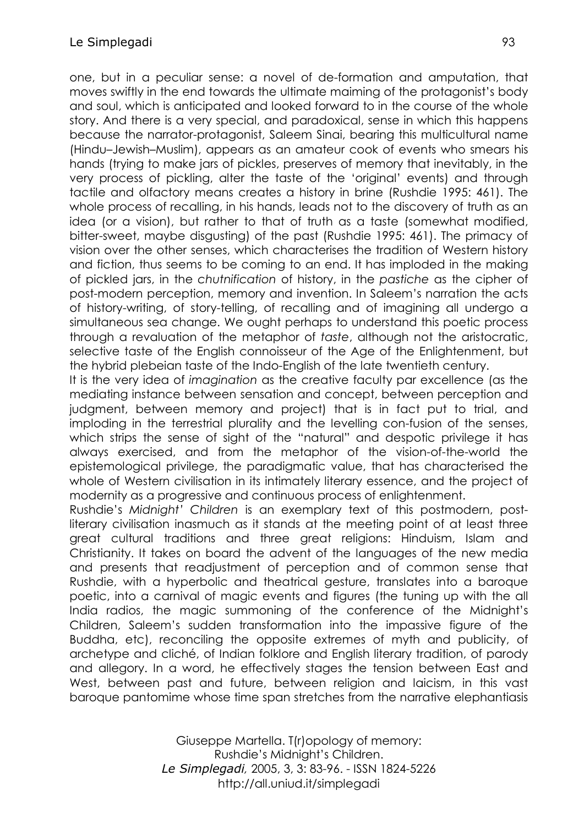one, but in a peculiar sense: a novel of de-formation and amputation, that moves swiftly in the end towards the ultimate maiming of the protagonist's body and soul, which is anticipated and looked forward to in the course of the whole story. And there is a very special, and paradoxical, sense in which this happens because the narrator-protagonist, Saleem Sinai, bearing this multicultural name (Hindu–Jewish–Muslim), appears as an amateur cook of events who smears his hands (trying to make jars of pickles, preserves of memory that inevitably, in the very process of pickling, alter the taste of the 'original' events) and through tactile and olfactory means creates a history in brine (Rushdie 1995: 461). The whole process of recalling, in his hands, leads not to the discovery of truth as an idea (or a vision), but rather to that of truth as a taste (somewhat modified, bitter-sweet, maybe disgusting) of the past (Rushdie 1995: 461). The primacy of vision over the other senses, which characterises the tradition of Western history and fiction, thus seems to be coming to an end. It has imploded in the making of pickled jars, in the *chutnification* of history, in the *pastiche* as the cipher of post-modern perception, memory and invention. In Saleem's narration the acts of history-writing, of story-telling, of recalling and of imagining all undergo a simultaneous sea change. We ought perhaps to understand this poetic process through a revaluation of the metaphor of *taste*, although not the aristocratic, selective taste of the English connoisseur of the Age of the Enlightenment, but the hybrid plebeian taste of the Indo-English of the late twentieth century.

It is the very idea of *imagination* as the creative faculty par excellence (as the mediating instance between sensation and concept, between perception and judgment, between memory and project) that is in fact put to trial, and imploding in the terrestrial plurality and the levelling con-fusion of the senses, which strips the sense of sight of the "natural" and despotic privilege it has always exercised, and from the metaphor of the vision-of-the-world the epistemological privilege, the paradigmatic value, that has characterised the whole of Western civilisation in its intimately literary essence, and the project of modernity as a progressive and continuous process of enlightenment.

Rushdie's *Midnight' Children* is an exemplary text of this postmodern, postliterary civilisation inasmuch as it stands at the meeting point of at least three great cultural traditions and three great religions: Hinduism, Islam and Christianity. It takes on board the advent of the languages of the new media and presents that readjustment of perception and of common sense that Rushdie, with a hyperbolic and theatrical gesture, translates into a baroque poetic, into a carnival of magic events and figures (the tuning up with the all India radios, the magic summoning of the conference of the Midnight's Children, Saleem's sudden transformation into the impassive figure of the Buddha, etc), reconciling the opposite extremes of myth and publicity, of archetype and cliché, of Indian folklore and English literary tradition, of parody and allegory. In a word, he effectively stages the tension between East and West, between past and future, between religion and laicism, in this vast baroque pantomime whose time span stretches from the narrative elephantiasis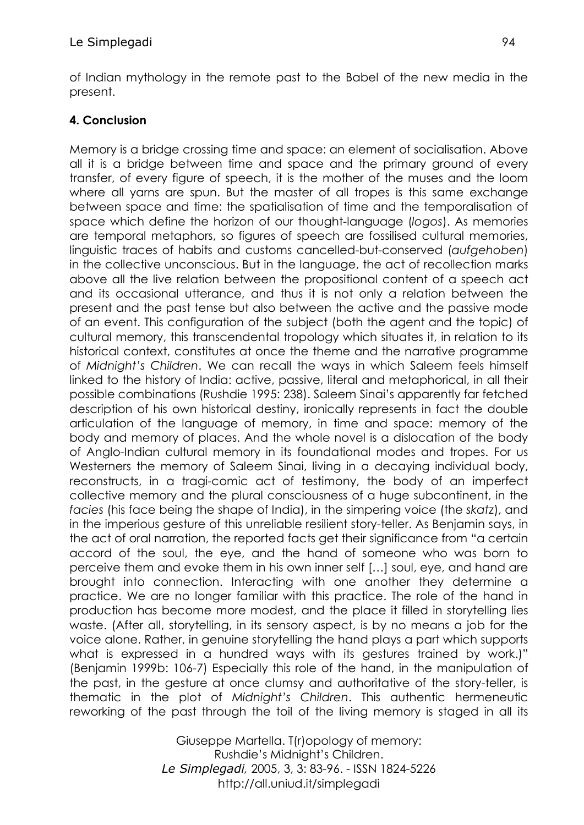of Indian mythology in the remote past to the Babel of the new media in the present.

# **4. Conclusion**

Memory is a bridge crossing time and space: an element of socialisation. Above all it is a bridge between time and space and the primary ground of every transfer, of every figure of speech, it is the mother of the muses and the loom where all yarns are spun. But the master of all tropes is this same exchange between space and time: the spatialisation of time and the temporalisation of space which define the horizon of our thought-language (*logos*). As memories are temporal metaphors, so figures of speech are fossilised cultural memories, linguistic traces of habits and customs cancelled-but-conserved (*aufgehoben*) in the collective unconscious. But in the language, the act of recollection marks above all the live relation between the propositional content of a speech act and its occasional utterance, and thus it is not only a relation between the present and the past tense but also between the active and the passive mode of an event. This configuration of the subject (both the agent and the topic) of cultural memory, this transcendental tropology which situates it, in relation to its historical context, constitutes at once the theme and the narrative programme of *Midnight's Children*. We can recall the ways in which Saleem feels himself linked to the history of India: active, passive, literal and metaphorical, in all their possible combinations (Rushdie 1995: 238). Saleem Sinai's apparently far fetched description of his own historical destiny, ironically represents in fact the double articulation of the language of memory, in time and space: memory of the body and memory of places. And the whole novel is a dislocation of the body of Anglo-Indian cultural memory in its foundational modes and tropes. For us Westerners the memory of Saleem Sinai, living in a decaying individual body, reconstructs, in a tragi-comic act of testimony, the body of an imperfect collective memory and the plural consciousness of a huge subcontinent, in the *facies* (his face being the shape of India), in the simpering voice (the *skatz*), and in the imperious gesture of this unreliable resilient story-teller. As Benjamin says, in the act of oral narration, the reported facts get their significance from "a certain accord of the soul, the eye, and the hand of someone who was born to perceive them and evoke them in his own inner self […] soul, eye, and hand are brought into connection. Interacting with one another they determine a practice. We are no longer familiar with this practice. The role of the hand in production has become more modest, and the place it filled in storytelling lies waste. (After all, storytelling, in its sensory aspect, is by no means a job for the voice alone. Rather, in genuine storytelling the hand plays a part which supports what is expressed in a hundred ways with its gestures trained by work.)" (Benjamin 1999b: 106-7) Especially this role of the hand, in the manipulation of the past, in the gesture at once clumsy and authoritative of the story-teller, is thematic in the plot of *Midnight's Children*. This authentic hermeneutic reworking of the past through the toil of the living memory is staged in all its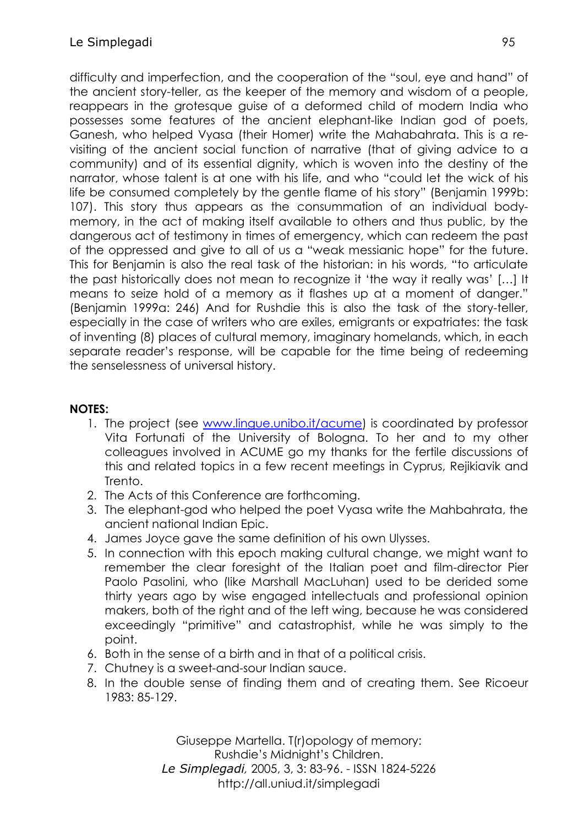difficulty and imperfection, and the cooperation of the "soul, eye and hand" of the ancient story-teller, as the keeper of the memory and wisdom of a people, reappears in the grotesque guise of a deformed child of modern India who possesses some features of the ancient elephant-like Indian god of poets, Ganesh, who helped Vyasa (their Homer) write the Mahabahrata. This is a revisiting of the ancient social function of narrative (that of giving advice to a community) and of its essential dignity, which is woven into the destiny of the narrator, whose talent is at one with his life, and who "could let the wick of his life be consumed completely by the gentle flame of his story" (Benjamin 1999b: 107). This story thus appears as the consummation of an individual bodymemory, in the act of making itself available to others and thus public, by the dangerous act of testimony in times of emergency, which can redeem the past of the oppressed and give to all of us a "weak messianic hope" for the future. This for Benjamin is also the real task of the historian: in his words, "to articulate the past historically does not mean to recognize it 'the way it really was' […] It means to seize hold of a memory as it flashes up at a moment of danger." (Benjamin 1999a: 246) And for Rushdie this is also the task of the story-teller, especially in the case of writers who are exiles, emigrants or expatriates: the task of inventing (8) places of cultural memory, imaginary homelands, which, in each separate reader's response, will be capable for the time being of redeeming the senselessness of universal history.

## **NOTES:**

- 1. The project (see [www.lingue.unibo.it/acume\)](http://www.lingue.unibo.it/acume) is coordinated by professor Vita Fortunati of the University of Bologna. To her and to my other colleagues involved in ACUME go my thanks for the fertile discussions of this and related topics in a few recent meetings in Cyprus, Rejikiavik and Trento.
- 2. The Acts of this Conference are forthcoming.
- 3. The elephant-god who helped the poet Vyasa write the Mahbahrata, the ancient national Indian Epic.
- 4. James Joyce gave the same definition of his own Ulysses.
- 5. In connection with this epoch making cultural change, we might want to remember the clear foresight of the Italian poet and film-director Pier Paolo Pasolini, who (like Marshall MacLuhan) used to be derided some thirty years ago by wise engaged intellectuals and professional opinion makers, both of the right and of the left wing, because he was considered exceedingly "primitive" and catastrophist, while he was simply to the point.
- 6. Both in the sense of a birth and in that of a political crisis.
- 7. Chutney is a sweet-and-sour Indian sauce.
- 8. In the double sense of finding them and of creating them. See Ricoeur 1983: 85-129.